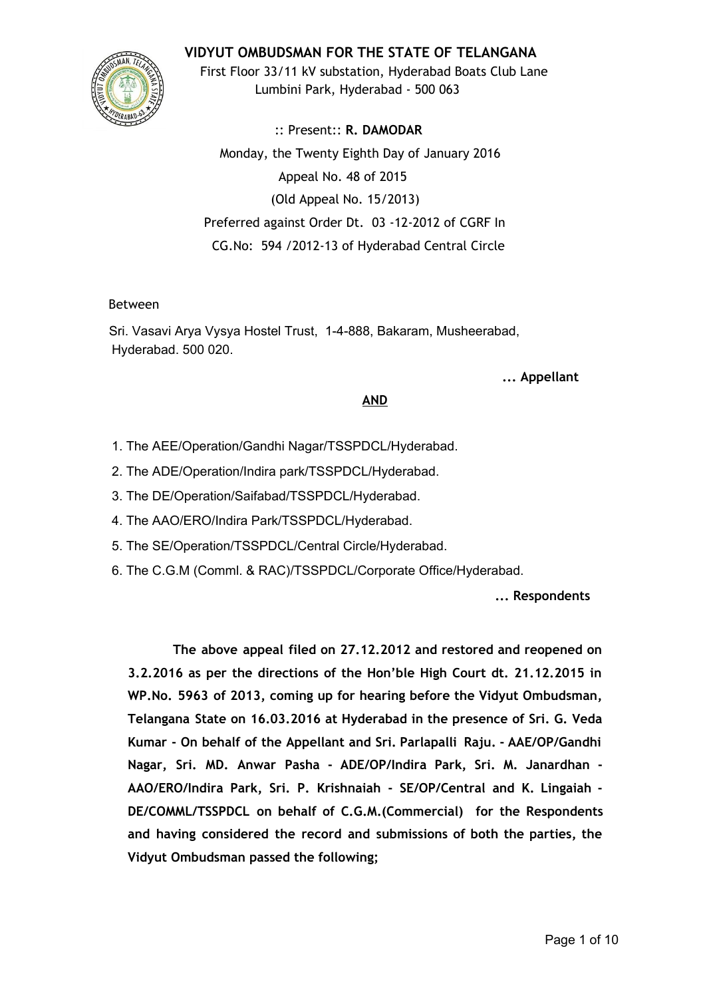# **VIDYUT OMBUDSMAN FOR THE STATE OF TELANGANA**



First Floor 33/11 kV substation, Hyderabad Boats Club Lane Lumbini Park, Hyderabad ‐ 500 063

:: Present:: **R. DAMODAR** Monday, the Twenty Eighth Day of January 2016 Appeal No. 48 of 2015 (Old Appeal No. 15/2013) Preferred against Order Dt. 03 ‐12‐2012 of CGRF In CG.No: 594 /2012‐13 of Hyderabad Central Circle

## Between

Sri. Vasavi Arya Vysya Hostel Trust, 1-4-888, Bakaram, Musheerabad, Hyderabad. 500 020.

## **... Appellant**

## **AND**

- 1. The AEE/Operation/Gandhi Nagar/TSSPDCL/Hyderabad.
- 2. The ADE/Operation/Indira park/TSSPDCL/Hyderabad.
- 3. The DE/Operation/Saifabad/TSSPDCL/Hyderabad.
- 4. The AAO/ERO/Indira Park/TSSPDCL/Hyderabad.
- 5. The SE/Operation/TSSPDCL/Central Circle/Hyderabad.
- 6. The C.G.M (Comml. & RAC)/TSSPDCL/Corporate Office/Hyderabad.

**... Respondents**

**The above appeal filed on 27.12.2012 and restored and reopened on 3.2.2016 as per the directions of the Hon'ble High Court dt. 21.12.2015 in WP.No. 5963 of 2013, coming up for hearing before the Vidyut Ombudsman, Telangana State on 16.03.2016 at Hyderabad in the presence of Sri. G. Veda Kumar ‐ On behalf of the Appellant and Sri. Parlapalli Raju. ‐ AAE/OP/Gandhi Nagar, Sri. MD. Anwar Pasha ‐ ADE/OP/Indira Park, Sri. M. Janardhan ‐ AAO/ERO/Indira Park, Sri. P. Krishnaiah ‐ SE/OP/Central and K. Lingaiah ‐ DE/COMML/TSSPDCL on behalf of C.G.M.(Commercial) for the Respondents and having considered the record and submissions of both the parties, the Vidyut Ombudsman passed the following;**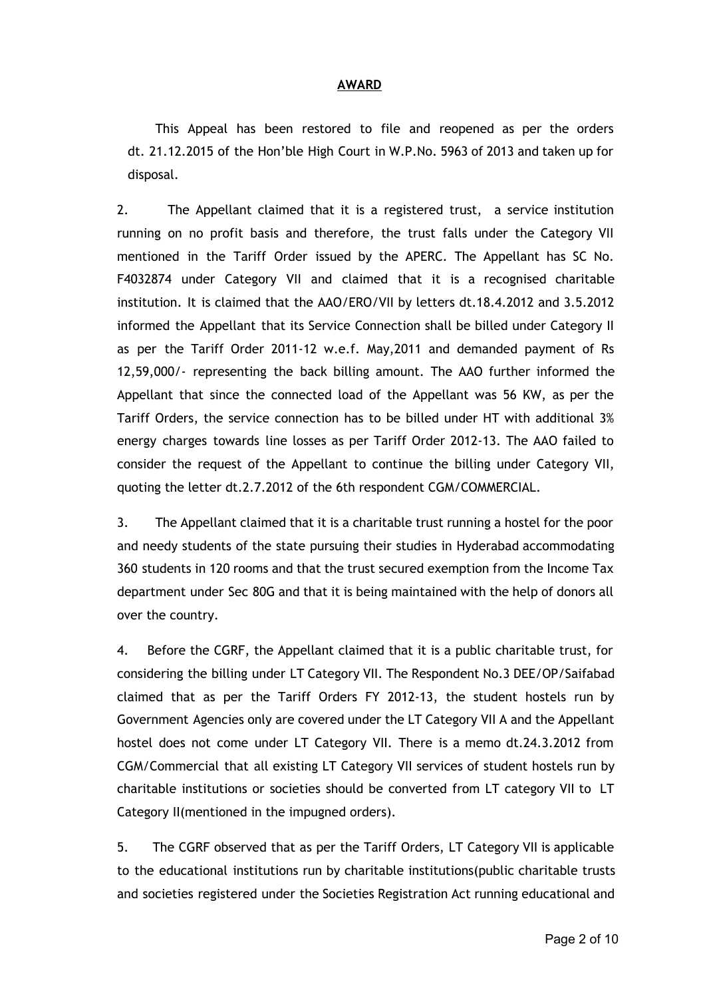#### **AWARD**

This Appeal has been restored to file and reopened as per the orders dt. 21.12.2015 of the Hon'ble High Court in W.P.No. 5963 of 2013 and taken up for disposal.

2. The Appellant claimed that it is a registered trust, a service institution running on no profit basis and therefore, the trust falls under the Category VII mentioned in the Tariff Order issued by the APERC. The Appellant has SC No. F4032874 under Category VII and claimed that it is a recognised charitable institution. It is claimed that the AAO/ERO/VII by letters dt.18.4.2012 and 3.5.2012 informed the Appellant that its Service Connection shall be billed under Category II as per the Tariff Order 2011‐12 w.e.f. May,2011 and demanded payment of Rs 12,59,000/‐ representing the back billing amount. The AAO further informed the Appellant that since the connected load of the Appellant was 56 KW, as per the Tariff Orders, the service connection has to be billed under HT with additional 3% energy charges towards line losses as per Tariff Order 2012‐13. The AAO failed to consider the request of the Appellant to continue the billing under Category VII, quoting the letter dt.2.7.2012 of the 6th respondent CGM/COMMERCIAL.

3. The Appellant claimed that it is a charitable trust running a hostel for the poor and needy students of the state pursuing their studies in Hyderabad accommodating 360 students in 120 rooms and that the trust secured exemption from the Income Tax department under Sec 80G and that it is being maintained with the help of donors all over the country.

4. Before the CGRF, the Appellant claimed that it is a public charitable trust, for considering the billing under LT Category VII. The Respondent No.3 DEE/OP/Saifabad claimed that as per the Tariff Orders FY 2012‐13, the student hostels run by Government Agencies only are covered under the LT Category VII A and the Appellant hostel does not come under LT Category VII. There is a memo dt.24.3.2012 from CGM/Commercial that all existing LT Category VII services of student hostels run by charitable institutions or societies should be converted from LT category VII to LT Category II(mentioned in the impugned orders).

5. The CGRF observed that as per the Tariff Orders, LT Category VII is applicable to the educational institutions run by charitable institutions(public charitable trusts and societies registered under the Societies Registration Act running educational and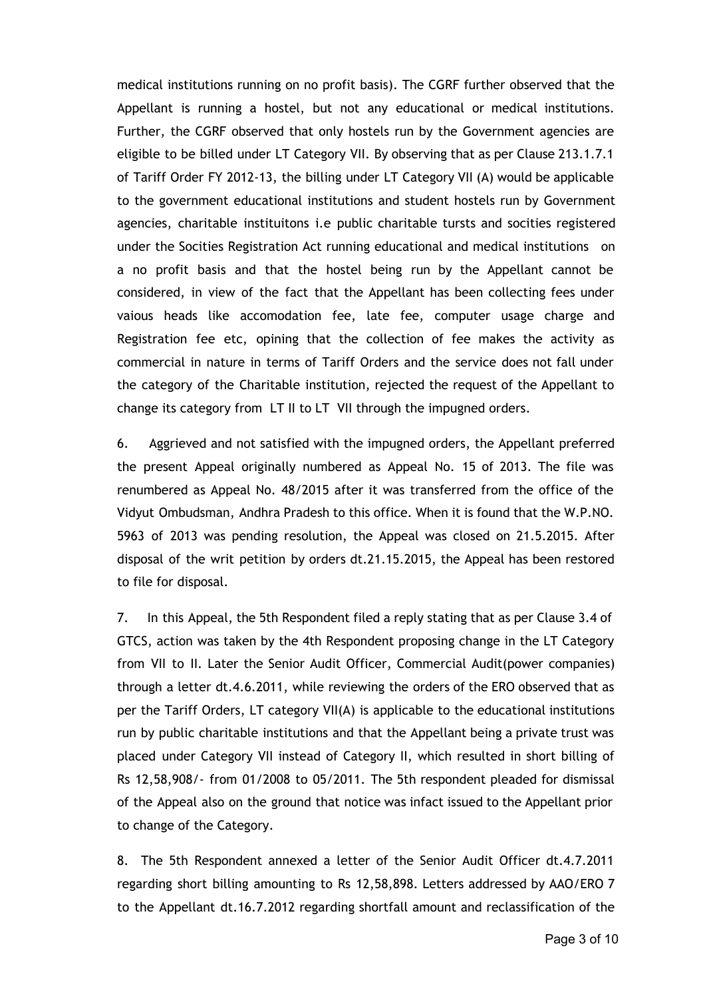medical institutions running on no profit basis). The CGRF further observed that the Appellant is running a hostel, but not any educational or medical institutions. Further, the CGRF observed that only hostels run by the Government agencies are eligible to be billed under LT Category VII. By observing that as per Clause 213.1.7.1 of Tariff Order FY 2012‐13, the billing under LT Category VII (A) would be applicable to the government educational institutions and student hostels run by Government agencies, charitable instituitons i.e public charitable tursts and socities registered under the Socities Registration Act running educational and medical institutions on a no profit basis and that the hostel being run by the Appellant cannot be considered, in view of the fact that the Appellant has been collecting fees under vaious heads like accomodation fee, late fee, computer usage charge and Registration fee etc, opining that the collection of fee makes the activity as commercial in nature in terms of Tariff Orders and the service does not fall under the category of the Charitable institution, rejected the request of the Appellant to change its category from LT II to LT VII through the impugned orders.

6. Aggrieved and not satisfied with the impugned orders, the Appellant preferred the present Appeal originally numbered as Appeal No. 15 of 2013. The file was renumbered as Appeal No. 48/2015 after it was transferred from the office of the Vidyut Ombudsman, Andhra Pradesh to this office. When it is found that the W.P.NO. 5963 of 2013 was pending resolution, the Appeal was closed on 21.5.2015. After disposal of the writ petition by orders dt.21.15.2015, the Appeal has been restored to file for disposal.

7. In this Appeal, the 5th Respondent filed a reply stating that as per Clause 3.4 of GTCS, action was taken by the 4th Respondent proposing change in the LT Category from VII to II. Later the Senior Audit Officer, Commercial Audit(power companies) through a letter dt.4.6.2011, while reviewing the orders of the ERO observed that as per the Tariff Orders, LT category VII(A) is applicable to the educational institutions run by public charitable institutions and that the Appellant being a private trust was placed under Category VII instead of Category II, which resulted in short billing of Rs 12,58,908/‐ from 01/2008 to 05/2011. The 5th respondent pleaded for dismissal of the Appeal also on the ground that notice was infact issued to the Appellant prior to change of the Category.

8. The 5th Respondent annexed a letter of the Senior Audit Officer dt.4.7.2011 regarding short billing amounting to Rs 12,58,898. Letters addressed by AAO/ERO 7 to the Appellant dt.16.7.2012 regarding shortfall amount and reclassification of the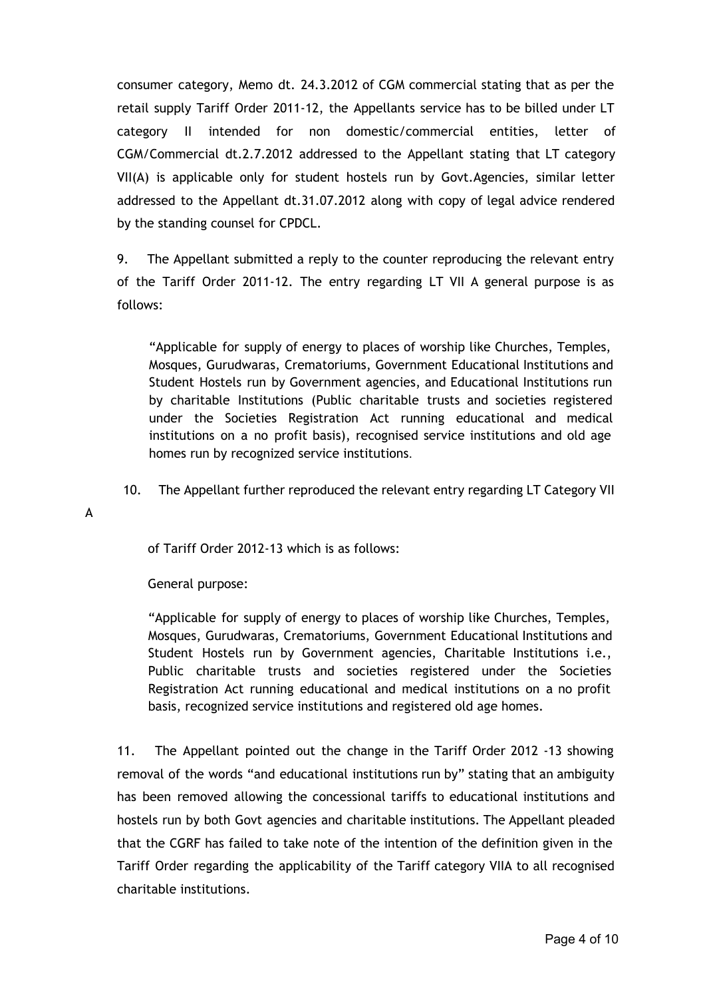consumer category, Memo dt. 24.3.2012 of CGM commercial stating that as per the retail supply Tariff Order 2011‐12, the Appellants service has to be billed under LT category II intended for non domestic/commercial entities, letter of CGM/Commercial dt.2.7.2012 addressed to the Appellant stating that LT category VII(A) is applicable only for student hostels run by Govt.Agencies, similar letter addressed to the Appellant dt.31.07.2012 along with copy of legal advice rendered by the standing counsel for CPDCL.

9. The Appellant submitted a reply to the counter reproducing the relevant entry of the Tariff Order 2011‐12. The entry regarding LT VII A general purpose is as follows:

"Applicable for supply of energy to places of worship like Churches, Temples, Mosques, Gurudwaras, Crematoriums, Government Educational Institutions and Student Hostels run by Government agencies, and Educational Institutions run by charitable Institutions (Public charitable trusts and societies registered under the Societies Registration Act running educational and medical institutions on a no profit basis), recognised service institutions and old age homes run by recognized service institutions.

10. The Appellant further reproduced the relevant entry regarding LT Category VII

A

of Tariff Order 2012‐13 which is as follows:

General purpose:

"Applicable for supply of energy to places of worship like Churches, Temples, Mosques, Gurudwaras, Crematoriums, Government Educational Institutions and Student Hostels run by Government agencies, Charitable Institutions i.e., Public charitable trusts and societies registered under the Societies Registration Act running educational and medical institutions on a no profit basis, recognized service institutions and registered old age homes.

11. The Appellant pointed out the change in the Tariff Order 2012 ‐13 showing removal of the words "and educational institutions run by" stating that an ambiguity has been removed allowing the concessional tariffs to educational institutions and hostels run by both Govt agencies and charitable institutions. The Appellant pleaded that the CGRF has failed to take note of the intention of the definition given in the Tariff Order regarding the applicability of the Tariff category VIIA to all recognised charitable institutions.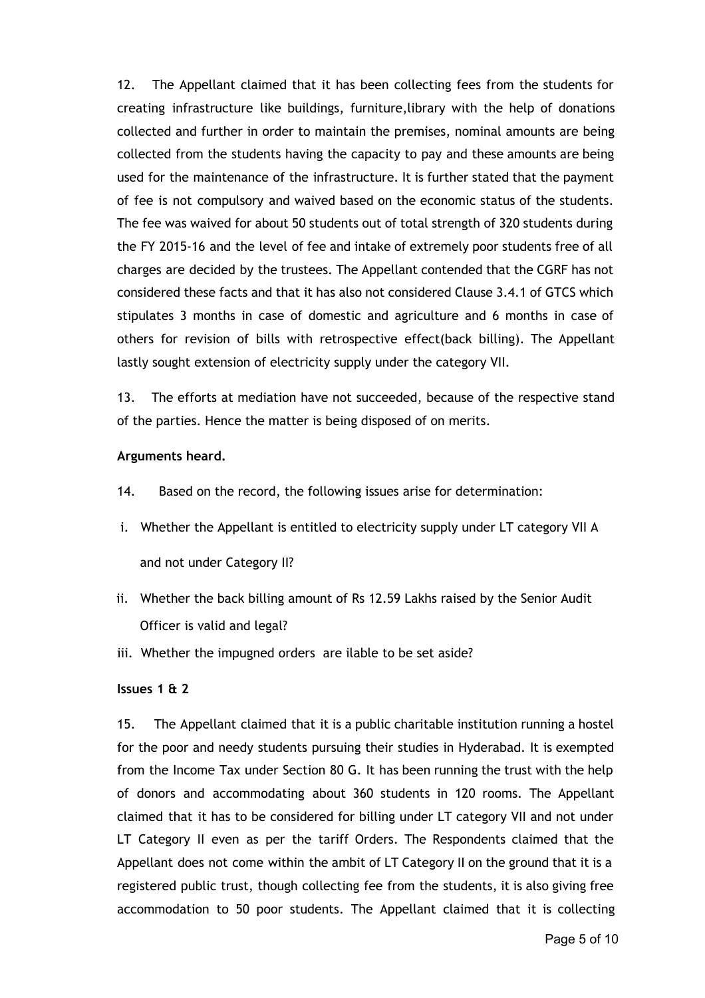12. The Appellant claimed that it has been collecting fees from the students for creating infrastructure like buildings, furniture,library with the help of donations collected and further in order to maintain the premises, nominal amounts are being collected from the students having the capacity to pay and these amounts are being used for the maintenance of the infrastructure. It is further stated that the payment of fee is not compulsory and waived based on the economic status of the students. The fee was waived for about 50 students out of total strength of 320 students during the FY 2015‐16 and the level of fee and intake of extremely poor students free of all charges are decided by the trustees. The Appellant contended that the CGRF has not considered these facts and that it has also not considered Clause 3.4.1 of GTCS which stipulates 3 months in case of domestic and agriculture and 6 months in case of others for revision of bills with retrospective effect(back billing). The Appellant lastly sought extension of electricity supply under the category VII.

13. The efforts at mediation have not succeeded, because of the respective stand of the parties. Hence the matter is being disposed of on merits.

## **Arguments heard.**

- 14. Based on the record, the following issues arise for determination:
- i. Whether the Appellant is entitled to electricity supply under LT category VII A and not under Category II?
- ii. Whether the back billing amount of Rs 12.59 Lakhs raised by the Senior Audit Officer is valid and legal?
- iii. Whether the impugned orders are ilable to be set aside?

#### **Issues 1 & 2**

15. The Appellant claimed that it is a public charitable institution running a hostel for the poor and needy students pursuing their studies in Hyderabad. It is exempted from the Income Tax under Section 80 G. It has been running the trust with the help of donors and accommodating about 360 students in 120 rooms. The Appellant claimed that it has to be considered for billing under LT category VII and not under LT Category II even as per the tariff Orders. The Respondents claimed that the Appellant does not come within the ambit of LT Category II on the ground that it is a registered public trust, though collecting fee from the students, it is also giving free accommodation to 50 poor students. The Appellant claimed that it is collecting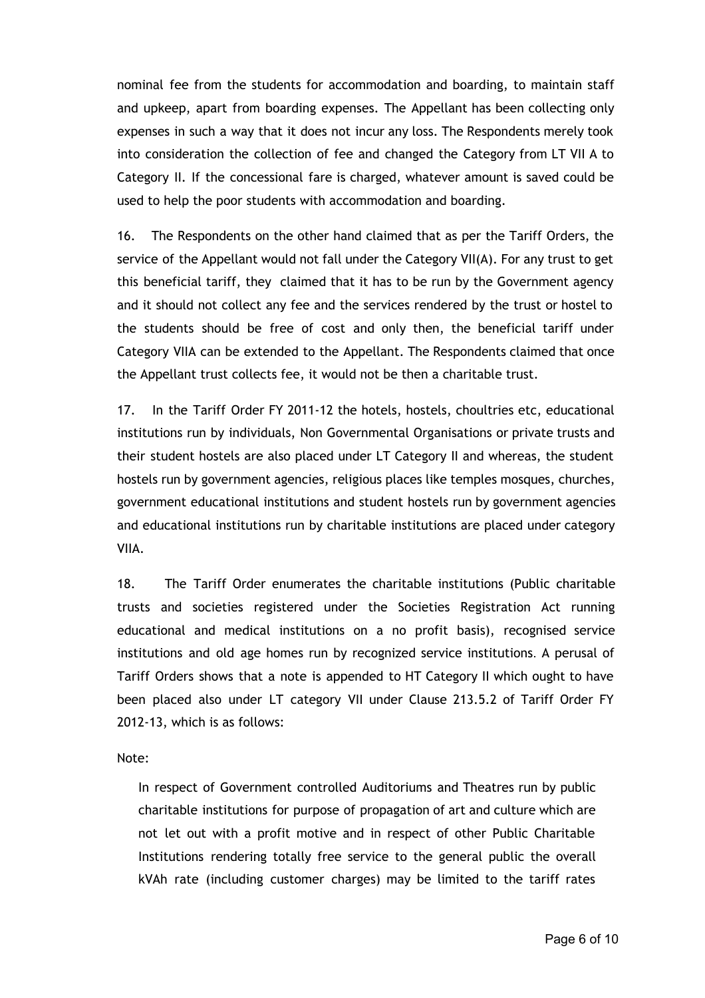nominal fee from the students for accommodation and boarding, to maintain staff and upkeep, apart from boarding expenses. The Appellant has been collecting only expenses in such a way that it does not incur any loss. The Respondents merely took into consideration the collection of fee and changed the Category from LT VII A to Category II. If the concessional fare is charged, whatever amount is saved could be used to help the poor students with accommodation and boarding.

16. The Respondents on the other hand claimed that as per the Tariff Orders, the service of the Appellant would not fall under the Category VII(A). For any trust to get this beneficial tariff, they claimed that it has to be run by the Government agency and it should not collect any fee and the services rendered by the trust or hostel to the students should be free of cost and only then, the beneficial tariff under Category VIIA can be extended to the Appellant. The Respondents claimed that once the Appellant trust collects fee, it would not be then a charitable trust.

17. In the Tariff Order FY 2011‐12 the hotels, hostels, choultries etc, educational institutions run by individuals, Non Governmental Organisations or private trusts and their student hostels are also placed under LT Category II and whereas, the student hostels run by government agencies, religious places like temples mosques, churches, government educational institutions and student hostels run by government agencies and educational institutions run by charitable institutions are placed under category VIIA.

18. The Tariff Order enumerates the charitable institutions (Public charitable trusts and societies registered under the Societies Registration Act running educational and medical institutions on a no profit basis), recognised service institutions and old age homes run by recognized service institutions. A perusal of Tariff Orders shows that a note is appended to HT Category II which ought to have been placed also under LT category VII under Clause 213.5.2 of Tariff Order FY 2012‐13, which is as follows:

Note:

In respect of Government controlled Auditoriums and Theatres run by public charitable institutions for purpose of propagation of art and culture which are not let out with a profit motive and in respect of other Public Charitable Institutions rendering totally free service to the general public the overall kVAh rate (including customer charges) may be limited to the tariff rates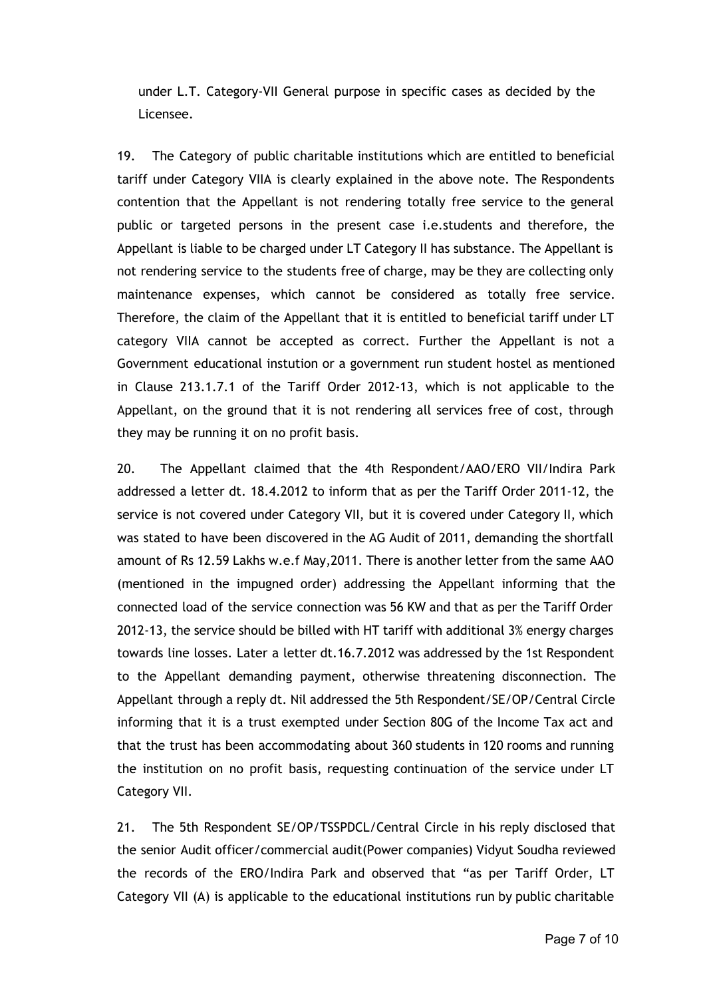under L.T. Category‐VII General purpose in specific cases as decided by the Licensee.

19. The Category of public charitable institutions which are entitled to beneficial tariff under Category VIIA is clearly explained in the above note. The Respondents contention that the Appellant is not rendering totally free service to the general public or targeted persons in the present case i.e.students and therefore, the Appellant is liable to be charged under LT Category II has substance. The Appellant is not rendering service to the students free of charge, may be they are collecting only maintenance expenses, which cannot be considered as totally free service. Therefore, the claim of the Appellant that it is entitled to beneficial tariff under LT category VIIA cannot be accepted as correct. Further the Appellant is not a Government educational instution or a government run student hostel as mentioned in Clause 213.1.7.1 of the Tariff Order 2012‐13, which is not applicable to the Appellant, on the ground that it is not rendering all services free of cost, through they may be running it on no profit basis.

20. The Appellant claimed that the 4th Respondent/AAO/ERO VII/Indira Park addressed a letter dt. 18.4.2012 to inform that as per the Tariff Order 2011‐12, the service is not covered under Category VII, but it is covered under Category II, which was stated to have been discovered in the AG Audit of 2011, demanding the shortfall amount of Rs 12.59 Lakhs w.e.f May,2011. There is another letter from the same AAO (mentioned in the impugned order) addressing the Appellant informing that the connected load of the service connection was 56 KW and that as per the Tariff Order 2012‐13, the service should be billed with HT tariff with additional 3% energy charges towards line losses. Later a letter dt.16.7.2012 was addressed by the 1st Respondent to the Appellant demanding payment, otherwise threatening disconnection. The Appellant through a reply dt. Nil addressed the 5th Respondent/SE/OP/Central Circle informing that it is a trust exempted under Section 80G of the Income Tax act and that the trust has been accommodating about 360 students in 120 rooms and running the institution on no profit basis, requesting continuation of the service under LT Category VII.

21. The 5th Respondent SE/OP/TSSPDCL/Central Circle in his reply disclosed that the senior Audit officer/commercial audit(Power companies) Vidyut Soudha reviewed the records of the ERO/Indira Park and observed that "as per Tariff Order, LT Category VII (A) is applicable to the educational institutions run by public charitable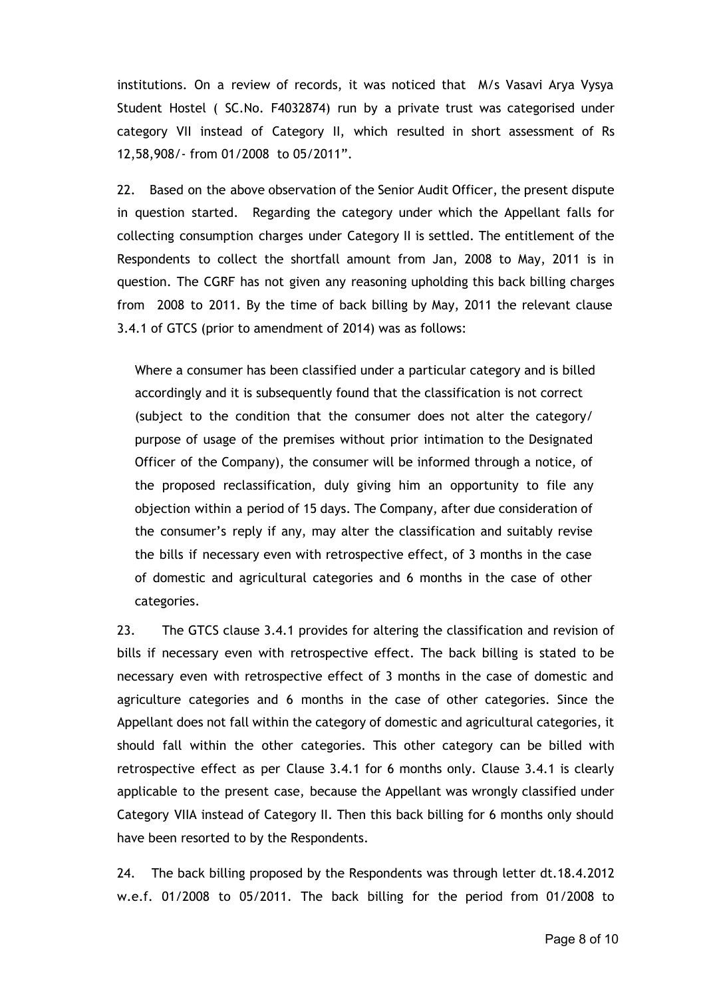institutions. On a review of records, it was noticed that M/s Vasavi Arya Vysya Student Hostel ( SC.No. F4032874) run by a private trust was categorised under category VII instead of Category II, which resulted in short assessment of Rs 12,58,908/‐ from 01/2008 to 05/2011".

22. Based on the above observation of the Senior Audit Officer, the present dispute in question started. Regarding the category under which the Appellant falls for collecting consumption charges under Category II is settled. The entitlement of the Respondents to collect the shortfall amount from Jan, 2008 to May, 2011 is in question. The CGRF has not given any reasoning upholding this back billing charges from 2008 to 2011. By the time of back billing by May, 2011 the relevant clause 3.4.1 of GTCS (prior to amendment of 2014) was as follows:

Where a consumer has been classified under a particular category and is billed accordingly and it is subsequently found that the classification is not correct (subject to the condition that the consumer does not alter the category/ purpose of usage of the premises without prior intimation to the Designated Officer of the Company), the consumer will be informed through a notice, of the proposed reclassification, duly giving him an opportunity to file any objection within a period of 15 days. The Company, after due consideration of the consumer's reply if any, may alter the classification and suitably revise the bills if necessary even with retrospective effect, of 3 months in the case of domestic and agricultural categories and 6 months in the case of other categories.

23. The GTCS clause 3.4.1 provides for altering the classification and revision of bills if necessary even with retrospective effect. The back billing is stated to be necessary even with retrospective effect of 3 months in the case of domestic and agriculture categories and 6 months in the case of other categories. Since the Appellant does not fall within the category of domestic and agricultural categories, it should fall within the other categories. This other category can be billed with retrospective effect as per Clause 3.4.1 for 6 months only. Clause 3.4.1 is clearly applicable to the present case, because the Appellant was wrongly classified under Category VIIA instead of Category II. Then this back billing for 6 months only should have been resorted to by the Respondents.

24. The back billing proposed by the Respondents was through letter dt.18.4.2012 w.e.f. 01/2008 to 05/2011. The back billing for the period from 01/2008 to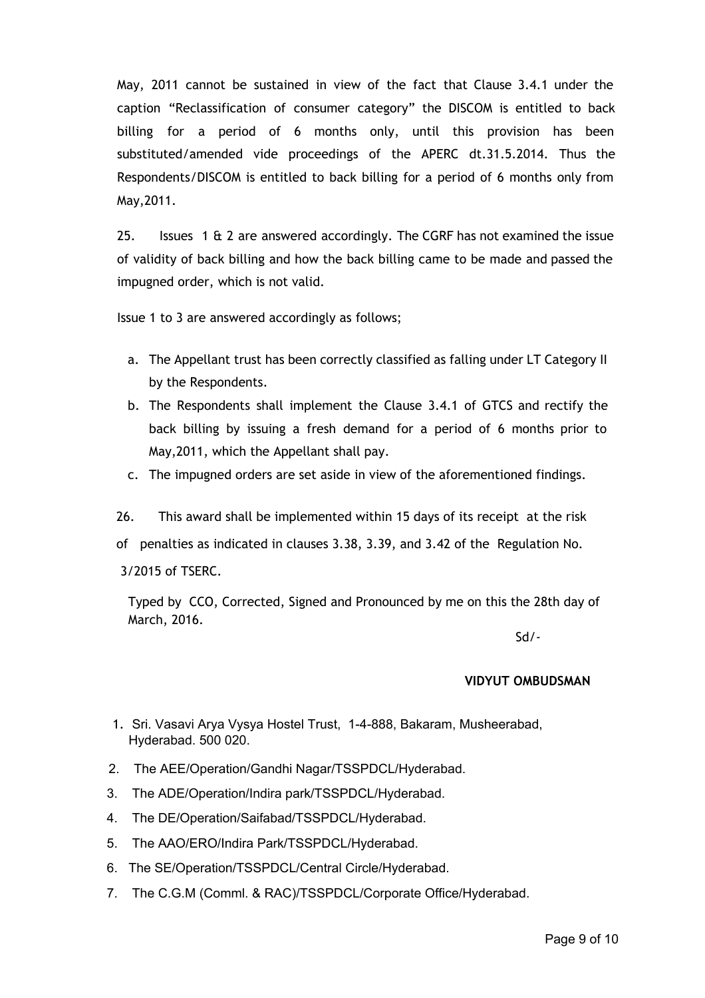May, 2011 cannot be sustained in view of the fact that Clause 3.4.1 under the caption "Reclassification of consumer category" the DISCOM is entitled to back billing for a period of 6 months only, until this provision has been substituted/amended vide proceedings of the APERC dt.31.5.2014. Thus the Respondents/DISCOM is entitled to back billing for a period of 6 months only from May,2011.

25. Issues 1 & 2 are answered accordingly. The CGRF has not examined the issue of validity of back billing and how the back billing came to be made and passed the impugned order, which is not valid.

Issue 1 to 3 are answered accordingly as follows;

- a. The Appellant trust has been correctly classified as falling under LT Category II by the Respondents.
- b. The Respondents shall implement the Clause 3.4.1 of GTCS and rectify the back billing by issuing a fresh demand for a period of 6 months prior to May,2011, which the Appellant shall pay.
- c. The impugned orders are set aside in view of the aforementioned findings.
- 26. This award shall be implemented within 15 days of its receipt at the risk
- of penalties as indicated in clauses 3.38, 3.39, and 3.42 of the Regulation No.

3/2015 of TSERC.

Typed by CCO, Corrected, Signed and Pronounced by me on this the 28th day of March, 2016.

Sd/‐

# **VIDYUT OMBUDSMAN**

- 1. Sri. Vasavi Arya Vysya Hostel Trust, 1-4-888, Bakaram, Musheerabad, Hyderabad. 500 020.
- 2. The AEE/Operation/Gandhi Nagar/TSSPDCL/Hyderabad.
- 3. The ADE/Operation/Indira park/TSSPDCL/Hyderabad.
- 4. The DE/Operation/Saifabad/TSSPDCL/Hyderabad.
- 5. The AAO/ERO/Indira Park/TSSPDCL/Hyderabad.
- 6. The SE/Operation/TSSPDCL/Central Circle/Hyderabad.
- 7. The C.G.M (Comml. & RAC)/TSSPDCL/Corporate Office/Hyderabad.